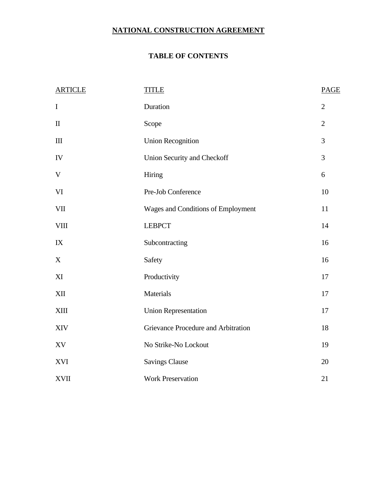# **NATIONAL CONSTRUCTION AGREEMENT**

# **TABLE OF CONTENTS**

| <b>ARTICLE</b>         | <b>TITLE</b>                        | <b>PAGE</b>    |
|------------------------|-------------------------------------|----------------|
| $\bf I$                | Duration                            | $\overline{2}$ |
| $\rm II$               | Scope                               | $\overline{2}$ |
| III                    | <b>Union Recognition</b>            | 3              |
| IV                     | Union Security and Checkoff         | 3              |
| $\mathbf V$            | Hiring                              | 6              |
| VI                     | Pre-Job Conference                  | 10             |
| <b>VII</b>             | Wages and Conditions of Employment  | 11             |
| $\rm VIII$             | <b>LEBPCT</b>                       | 14             |
| $\mathbf{I}\mathbf{X}$ | Subcontracting                      | 16             |
| X                      | Safety                              | 16             |
| XI                     | Productivity                        | 17             |
| <b>XII</b>             | Materials                           | 17             |
| <b>XIII</b>            | <b>Union Representation</b>         | 17             |
| <b>XIV</b>             | Grievance Procedure and Arbitration | 18             |
| XV                     | No Strike-No Lockout                | 19             |
| XVI                    | <b>Savings Clause</b>               | 20             |
| <b>XVII</b>            | <b>Work Preservation</b>            | 21             |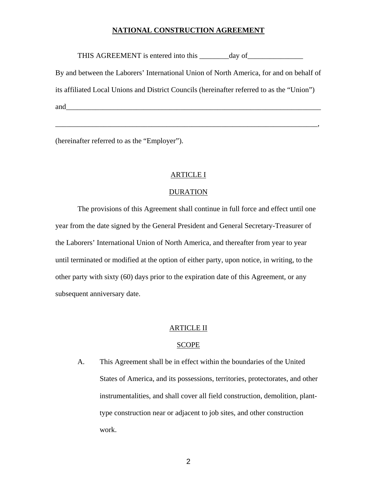## **NATIONAL CONSTRUCTION AGREEMENT**

THIS AGREEMENT is entered into this \_\_\_\_\_\_\_day of\_\_\_\_\_\_\_\_\_\_\_\_\_\_\_\_\_\_\_\_\_\_\_\_\_\_\_\_\_\_\_

By and between the Laborers' International Union of North America, for and on behalf of its affiliated Local Unions and District Councils (hereinafter referred to as the "Union") and  $\overline{\mathbf{a}}$ 

\_\_\_\_\_\_\_\_\_\_\_\_\_\_\_\_\_\_\_\_\_\_\_\_\_\_\_\_\_\_\_\_\_\_\_\_\_\_\_\_\_\_\_\_\_\_\_\_\_\_\_\_\_\_\_\_\_\_\_\_\_\_\_\_\_\_\_\_\_\_\_,

(hereinafter referred to as the "Employer").

## ARTICLE I

#### DURATION

 The provisions of this Agreement shall continue in full force and effect until one year from the date signed by the General President and General Secretary-Treasurer of the Laborers' International Union of North America, and thereafter from year to year until terminated or modified at the option of either party, upon notice, in writing, to the other party with sixty (60) days prior to the expiration date of this Agreement, or any subsequent anniversary date.

#### ARTICLE II

#### SCOPE

A. This Agreement shall be in effect within the boundaries of the United States of America, and its possessions, territories, protectorates, and other instrumentalities, and shall cover all field construction, demolition, planttype construction near or adjacent to job sites, and other construction work.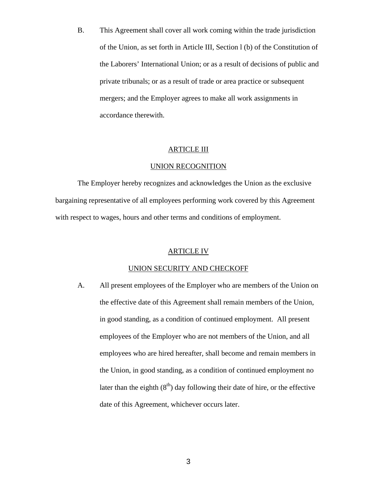B. This Agreement shall cover all work coming within the trade jurisdiction of the Union, as set forth in Article III, Section l (b) of the Constitution of the Laborers' International Union; or as a result of decisions of public and private tribunals; or as a result of trade or area practice or subsequent mergers; and the Employer agrees to make all work assignments in accordance therewith.

## ARTICLE III

#### UNION RECOGNITION

 The Employer hereby recognizes and acknowledges the Union as the exclusive bargaining representative of all employees performing work covered by this Agreement with respect to wages, hours and other terms and conditions of employment.

### ARTICLE IV

#### UNION SECURITY AND CHECKOFF

A. All present employees of the Employer who are members of the Union on the effective date of this Agreement shall remain members of the Union, in good standing, as a condition of continued employment. All present employees of the Employer who are not members of the Union, and all employees who are hired hereafter, shall become and remain members in the Union, in good standing, as a condition of continued employment no later than the eighth  $(8<sup>th</sup>)$  day following their date of hire, or the effective date of this Agreement, whichever occurs later.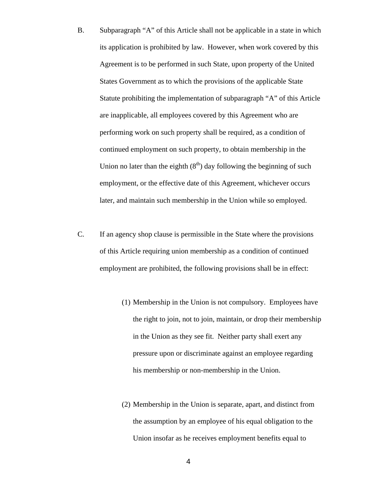- B. Subparagraph "A" of this Article shall not be applicable in a state in which its application is prohibited by law. However, when work covered by this Agreement is to be performed in such State, upon property of the United States Government as to which the provisions of the applicable State Statute prohibiting the implementation of subparagraph "A" of this Article are inapplicable, all employees covered by this Agreement who are performing work on such property shall be required, as a condition of continued employment on such property, to obtain membership in the Union no later than the eighth  $(8<sup>th</sup>)$  day following the beginning of such employment, or the effective date of this Agreement, whichever occurs later, and maintain such membership in the Union while so employed.
- C. If an agency shop clause is permissible in the State where the provisions of this Article requiring union membership as a condition of continued employment are prohibited, the following provisions shall be in effect:
	- (1) Membership in the Union is not compulsory. Employees have the right to join, not to join, maintain, or drop their membership in the Union as they see fit. Neither party shall exert any pressure upon or discriminate against an employee regarding his membership or non-membership in the Union.
	- (2) Membership in the Union is separate, apart, and distinct from the assumption by an employee of his equal obligation to the Union insofar as he receives employment benefits equal to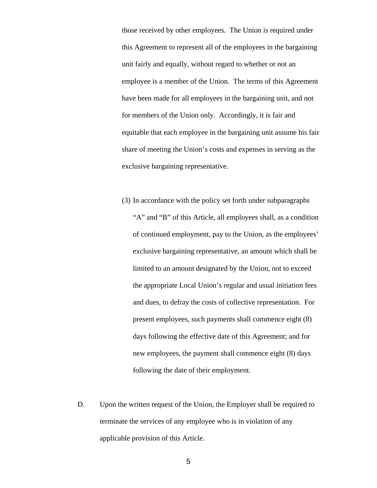those received by other employees. The Union is required under this Agreement to represent all of the employees in the bargaining unit fairly and equally, without regard to whether or not an employee is a member of the Union. The terms of this Agreement have been made for all employees in the bargaining unit, and not for members of the Union only. Accordingly, it is fair and equitable that each employee in the bargaining unit assume his fair share of meeting the Union's costs and expenses in serving as the exclusive bargaining representative.

- (3) In accordance with the policy set forth under subparagraphs "A" and "B" of this Article, all employees shall, as a condition of continued employment, pay to the Union, as the employees' exclusive bargaining representative, an amount which shall be limited to an amount designated by the Union, not to exceed the appropriate Local Union's regular and usual initiation fees and dues, to defray the costs of collective representation. For present employees, such payments shall commence eight (8) days following the effective date of this Agreement; and for new employees, the payment shall commence eight (8) days following the date of their employment.
- D. Upon the written request of the Union, the Employer shall be required to terminate the services of any employee who is in violation of any applicable provision of this Article.

 $\sim$  5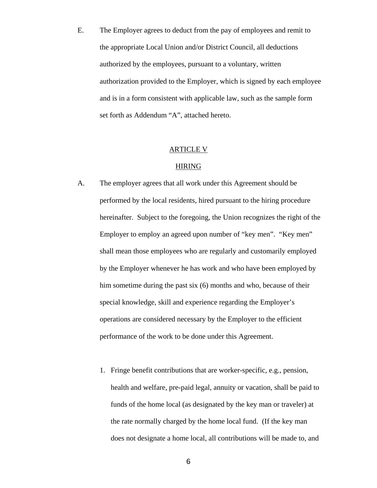E. The Employer agrees to deduct from the pay of employees and remit to the appropriate Local Union and/or District Council, all deductions authorized by the employees, pursuant to a voluntary, written authorization provided to the Employer, which is signed by each employee and is in a form consistent with applicable law, such as the sample form set forth as Addendum "A", attached hereto.

## ARTICLE V

## HIRING

- A. The employer agrees that all work under this Agreement should be performed by the local residents, hired pursuant to the hiring procedure hereinafter. Subject to the foregoing, the Union recognizes the right of the Employer to employ an agreed upon number of "key men". "Key men" shall mean those employees who are regularly and customarily employed by the Employer whenever he has work and who have been employed by him sometime during the past six (6) months and who, because of their special knowledge, skill and experience regarding the Employer's operations are considered necessary by the Employer to the efficient performance of the work to be done under this Agreement.
	- 1. Fringe benefit contributions that are worker-specific, e.g., pension, health and welfare, pre-paid legal, annuity or vacation, shall be paid to funds of the home local (as designated by the key man or traveler) at the rate normally charged by the home local fund. (If the key man does not designate a home local, all contributions will be made to, and

 $\overline{6}$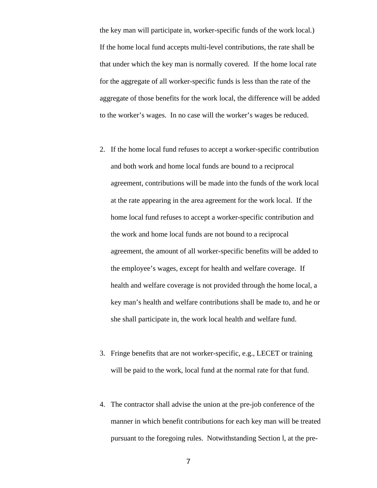the key man will participate in, worker-specific funds of the work local.) If the home local fund accepts multi-level contributions, the rate shall be that under which the key man is normally covered. If the home local rate for the aggregate of all worker-specific funds is less than the rate of the aggregate of those benefits for the work local, the difference will be added to the worker's wages. In no case will the worker's wages be reduced.

- 2. If the home local fund refuses to accept a worker-specific contribution and both work and home local funds are bound to a reciprocal agreement, contributions will be made into the funds of the work local at the rate appearing in the area agreement for the work local. If the home local fund refuses to accept a worker-specific contribution and the work and home local funds are not bound to a reciprocal agreement, the amount of all worker-specific benefits will be added to the employee's wages, except for health and welfare coverage. If health and welfare coverage is not provided through the home local, a key man's health and welfare contributions shall be made to, and he or she shall participate in, the work local health and welfare fund.
- 3. Fringe benefits that are not worker-specific, e.g., LECET or training will be paid to the work, local fund at the normal rate for that fund.
- 4. The contractor shall advise the union at the pre-job conference of the manner in which benefit contributions for each key man will be treated pursuant to the foregoing rules. Notwithstanding Section l, at the pre-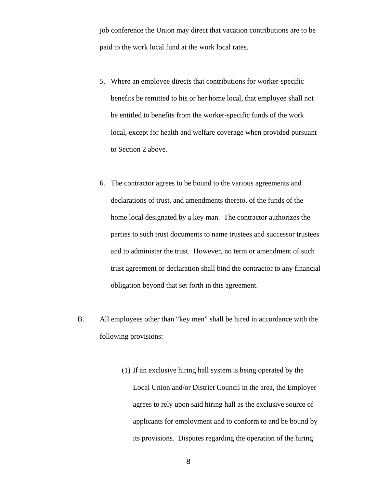job conference the Union may direct that vacation contributions are to be paid to the work local fund at the work local rates.

- 5. Where an employee directs that contributions for worker-specific benefits be remitted to his or her home local, that employee shall not be entitled to benefits from the worker-specific funds of the work local, except for health and welfare coverage when provided pursuant to Section 2 above.
- 6. The contractor agrees to be bound to the various agreements and declarations of trust, and amendments thereto, of the funds of the home local designated by a key man. The contractor authorizes the parties to such trust documents to name trustees and successor trustees and to administer the trust. However, no term or amendment of such trust agreement or declaration shall bind the contractor to any financial obligation beyond that set forth in this agreement.
- B. All employees other than "key men" shall be hired in accordance with the following provisions:
	- (1) If an exclusive hiring hall system is being operated by the Local Union and/or District Council in the area, the Employer agrees to rely upon said hiring hall as the exclusive source of applicants for employment and to conform to and be bound by its provisions. Disputes regarding the operation of the hiring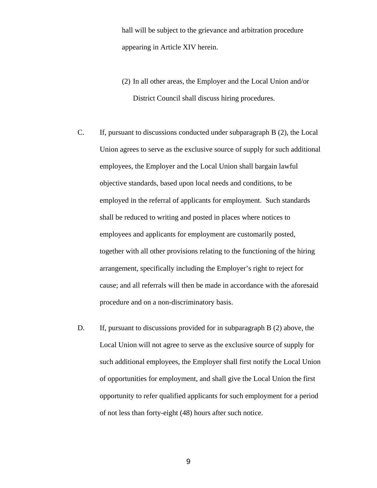hall will be subject to the grievance and arbitration procedure appearing in Article XIV herein.

(2) In all other areas, the Employer and the Local Union and/or District Council shall discuss hiring procedures.

- C. If, pursuant to discussions conducted under subparagraph B (2), the Local Union agrees to serve as the exclusive source of supply for such additional employees, the Employer and the Local Union shall bargain lawful objective standards, based upon local needs and conditions, to be employed in the referral of applicants for employment. Such standards shall be reduced to writing and posted in places where notices to employees and applicants for employment are customarily posted, together with all other provisions relating to the functioning of the hiring arrangement, specifically including the Employer's right to reject for cause; and all referrals will then be made in accordance with the aforesaid procedure and on a non-discriminatory basis.
- D. If, pursuant to discussions provided for in subparagraph B (2) above, the Local Union will not agree to serve as the exclusive source of supply for such additional employees, the Employer shall first notify the Local Union of opportunities for employment, and shall give the Local Union the first opportunity to refer qualified applicants for such employment for a period of not less than forty-eight (48) hours after such notice.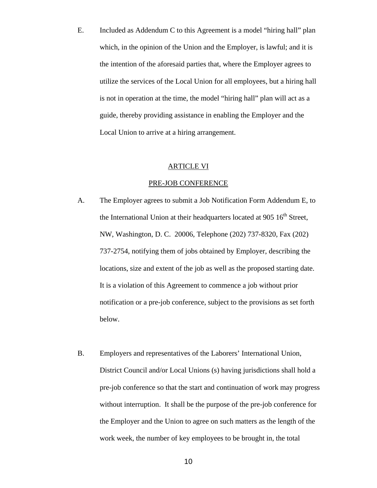E. Included as Addendum C to this Agreement is a model "hiring hall" plan which, in the opinion of the Union and the Employer, is lawful; and it is the intention of the aforesaid parties that, where the Employer agrees to utilize the services of the Local Union for all employees, but a hiring hall is not in operation at the time, the model "hiring hall" plan will act as a guide, thereby providing assistance in enabling the Employer and the Local Union to arrive at a hiring arrangement.

## ARTICLE VI

#### PRE-JOB CONFERENCE

- A. The Employer agrees to submit a Job Notification Form Addendum E, to the International Union at their headquarters located at 905  $16<sup>th</sup>$  Street, NW, Washington, D. C. 20006, Telephone (202) 737-8320, Fax (202) 737-2754, notifying them of jobs obtained by Employer, describing the locations, size and extent of the job as well as the proposed starting date. It is a violation of this Agreement to commence a job without prior notification or a pre-job conference, subject to the provisions as set forth below.
- B. Employers and representatives of the Laborers' International Union, District Council and/or Local Unions (s) having jurisdictions shall hold a pre-job conference so that the start and continuation of work may progress without interruption. It shall be the purpose of the pre-job conference for the Employer and the Union to agree on such matters as the length of the work week, the number of key employees to be brought in, the total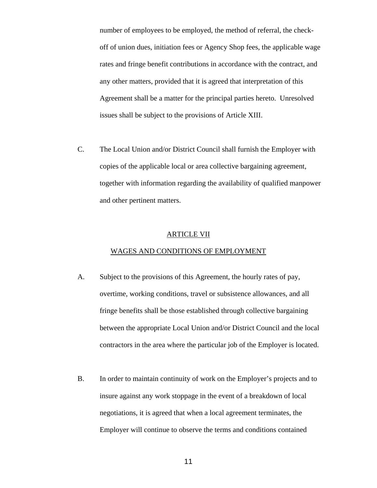number of employees to be employed, the method of referral, the checkoff of union dues, initiation fees or Agency Shop fees, the applicable wage rates and fringe benefit contributions in accordance with the contract, and any other matters, provided that it is agreed that interpretation of this Agreement shall be a matter for the principal parties hereto. Unresolved issues shall be subject to the provisions of Article XIII.

C. The Local Union and/or District Council shall furnish the Employer with copies of the applicable local or area collective bargaining agreement, together with information regarding the availability of qualified manpower and other pertinent matters.

### ARTICLE VII

#### WAGES AND CONDITIONS OF EMPLOYMENT

- A. Subject to the provisions of this Agreement, the hourly rates of pay, overtime, working conditions, travel or subsistence allowances, and all fringe benefits shall be those established through collective bargaining between the appropriate Local Union and/or District Council and the local contractors in the area where the particular job of the Employer is located.
- B. In order to maintain continuity of work on the Employer's projects and to insure against any work stoppage in the event of a breakdown of local negotiations, it is agreed that when a local agreement terminates, the Employer will continue to observe the terms and conditions contained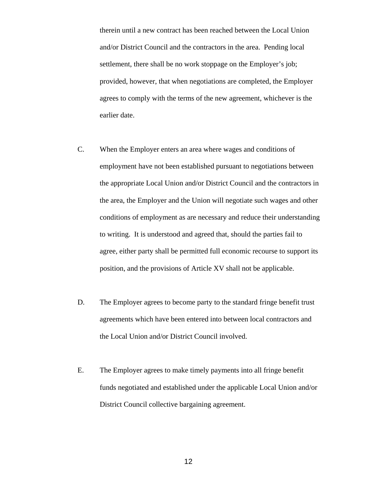therein until a new contract has been reached between the Local Union and/or District Council and the contractors in the area. Pending local settlement, there shall be no work stoppage on the Employer's job; provided, however, that when negotiations are completed, the Employer agrees to comply with the terms of the new agreement, whichever is the earlier date.

- C. When the Employer enters an area where wages and conditions of employment have not been established pursuant to negotiations between the appropriate Local Union and/or District Council and the contractors in the area, the Employer and the Union will negotiate such wages and other conditions of employment as are necessary and reduce their understanding to writing. It is understood and agreed that, should the parties fail to agree, either party shall be permitted full economic recourse to support its position, and the provisions of Article XV shall not be applicable.
- D. The Employer agrees to become party to the standard fringe benefit trust agreements which have been entered into between local contractors and the Local Union and/or District Council involved.
- E. The Employer agrees to make timely payments into all fringe benefit funds negotiated and established under the applicable Local Union and/or District Council collective bargaining agreement.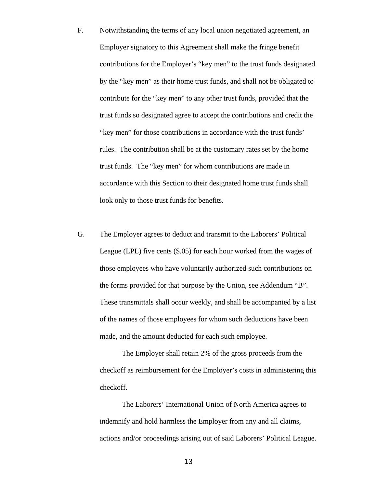- F. Notwithstanding the terms of any local union negotiated agreement, an Employer signatory to this Agreement shall make the fringe benefit contributions for the Employer's "key men" to the trust funds designated by the "key men" as their home trust funds, and shall not be obligated to contribute for the "key men" to any other trust funds, provided that the trust funds so designated agree to accept the contributions and credit the "key men" for those contributions in accordance with the trust funds' rules. The contribution shall be at the customary rates set by the home trust funds. The "key men" for whom contributions are made in accordance with this Section to their designated home trust funds shall look only to those trust funds for benefits.
- G. The Employer agrees to deduct and transmit to the Laborers' Political League (LPL) five cents (\$.05) for each hour worked from the wages of those employees who have voluntarily authorized such contributions on the forms provided for that purpose by the Union, see Addendum "B". These transmittals shall occur weekly, and shall be accompanied by a list of the names of those employees for whom such deductions have been made, and the amount deducted for each such employee.

The Employer shall retain 2% of the gross proceeds from the checkoff as reimbursement for the Employer's costs in administering this checkoff.

The Laborers' International Union of North America agrees to indemnify and hold harmless the Employer from any and all claims, actions and/or proceedings arising out of said Laborers' Political League.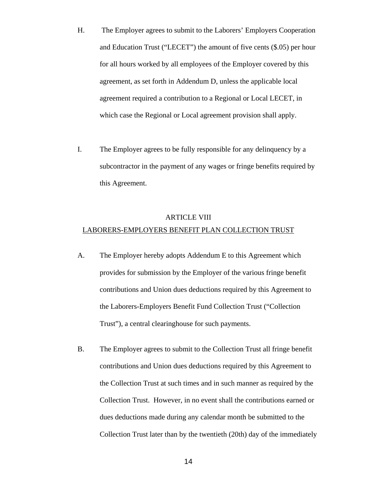- H. The Employer agrees to submit to the Laborers' Employers Cooperation and Education Trust ("LECET") the amount of five cents (\$.05) per hour for all hours worked by all employees of the Employer covered by this agreement, as set forth in Addendum D, unless the applicable local agreement required a contribution to a Regional or Local LECET, in which case the Regional or Local agreement provision shall apply.
- I. The Employer agrees to be fully responsible for any delinquency by a subcontractor in the payment of any wages or fringe benefits required by this Agreement.

## ARTICLE VIII

#### LABORERS-EMPLOYERS BENEFIT PLAN COLLECTION TRUST

- A. The Employer hereby adopts Addendum E to this Agreement which provides for submission by the Employer of the various fringe benefit contributions and Union dues deductions required by this Agreement to the Laborers-Employers Benefit Fund Collection Trust ("Collection Trust"), a central clearinghouse for such payments.
- B. The Employer agrees to submit to the Collection Trust all fringe benefit contributions and Union dues deductions required by this Agreement to the Collection Trust at such times and in such manner as required by the Collection Trust. However, in no event shall the contributions earned or dues deductions made during any calendar month be submitted to the Collection Trust later than by the twentieth (20th) day of the immediately

 $\sim$  14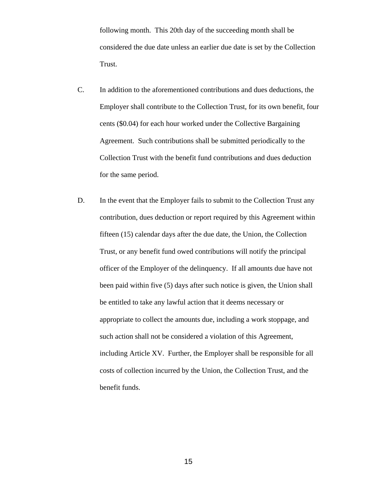following month. This 20th day of the succeeding month shall be considered the due date unless an earlier due date is set by the Collection Trust.

- C. In addition to the aforementioned contributions and dues deductions, the Employer shall contribute to the Collection Trust, for its own benefit, four cents (\$0.04) for each hour worked under the Collective Bargaining Agreement. Such contributions shall be submitted periodically to the Collection Trust with the benefit fund contributions and dues deduction for the same period.
- D. In the event that the Employer fails to submit to the Collection Trust any contribution, dues deduction or report required by this Agreement within fifteen (15) calendar days after the due date, the Union, the Collection Trust, or any benefit fund owed contributions will notify the principal officer of the Employer of the delinquency. If all amounts due have not been paid within five (5) days after such notice is given, the Union shall be entitled to take any lawful action that it deems necessary or appropriate to collect the amounts due, including a work stoppage, and such action shall not be considered a violation of this Agreement, including Article XV. Further, the Employer shall be responsible for all costs of collection incurred by the Union, the Collection Trust, and the benefit funds.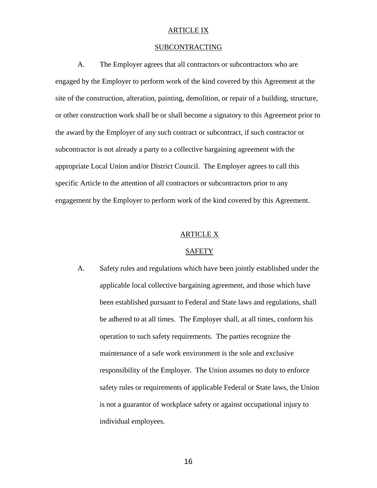## ARTICLE IX

## SUBCONTRACTING

 A. The Employer agrees that all contractors or subcontractors who are engaged by the Employer to perform work of the kind covered by this Agreement at the site of the construction, alteration, painting, demolition, or repair of a building, structure, or other construction work shall be or shall become a signatory to this Agreement prior to the award by the Employer of any such contract or subcontract, if such contractor or subcontractor is not already a party to a collective bargaining agreement with the appropriate Local Union and/or District Council. The Employer agrees to call this specific Article to the attention of all contractors or subcontractors prior to any engagement by the Employer to perform work of the kind covered by this Agreement.

## ARTICLE X

#### SAFETY

A. Safety rules and regulations which have been jointly established under the applicable local collective bargaining agreement, and those which have been established pursuant to Federal and State laws and regulations, shall be adhered to at all times. The Employer shall, at all times, conform his operation to such safety requirements. The parties recognize the maintenance of a safe work environment is the sole and exclusive responsibility of the Employer. The Union assumes no duty to enforce safety rules or requirements of applicable Federal or State laws, the Union is not a guarantor of workplace safety or against occupational injury to individual employees.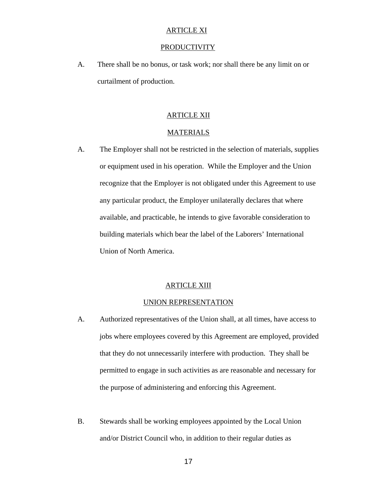## ARTICLE XI

#### PRODUCTIVITY

A. There shall be no bonus, or task work; nor shall there be any limit on or curtailment of production.

## ARTICLE XII

#### MATERIALS

A. The Employer shall not be restricted in the selection of materials, supplies or equipment used in his operation. While the Employer and the Union recognize that the Employer is not obligated under this Agreement to use any particular product, the Employer unilaterally declares that where available, and practicable, he intends to give favorable consideration to building materials which bear the label of the Laborers' International Union of North America.

## ARTICLE XIII

#### UNION REPRESENTATION

- A. Authorized representatives of the Union shall, at all times, have access to jobs where employees covered by this Agreement are employed, provided that they do not unnecessarily interfere with production. They shall be permitted to engage in such activities as are reasonable and necessary for the purpose of administering and enforcing this Agreement.
- B. Stewards shall be working employees appointed by the Local Union and/or District Council who, in addition to their regular duties as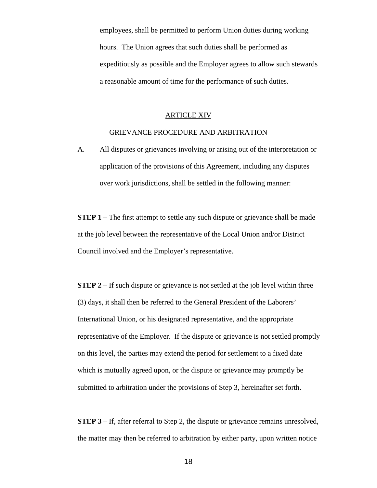employees, shall be permitted to perform Union duties during working hours. The Union agrees that such duties shall be performed as expeditiously as possible and the Employer agrees to allow such stewards a reasonable amount of time for the performance of such duties.

#### ARTICLE XIV

#### GRIEVANCE PROCEDURE AND ARBITRATION

A. All disputes or grievances involving or arising out of the interpretation or application of the provisions of this Agreement, including any disputes over work jurisdictions, shall be settled in the following manner:

**STEP 1** – The first attempt to settle any such dispute or grievance shall be made at the job level between the representative of the Local Union and/or District Council involved and the Employer's representative.

**STEP 2 –** If such dispute or grievance is not settled at the job level within three (3) days, it shall then be referred to the General President of the Laborers' International Union, or his designated representative, and the appropriate representative of the Employer. If the dispute or grievance is not settled promptly on this level, the parties may extend the period for settlement to a fixed date which is mutually agreed upon, or the dispute or grievance may promptly be submitted to arbitration under the provisions of Step 3, hereinafter set forth.

**STEP 3** – If, after referral to Step 2, the dispute or grievance remains unresolved, the matter may then be referred to arbitration by either party, upon written notice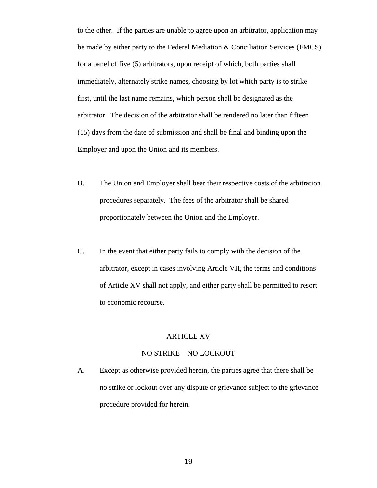to the other. If the parties are unable to agree upon an arbitrator, application may be made by either party to the Federal Mediation & Conciliation Services (FMCS) for a panel of five (5) arbitrators, upon receipt of which, both parties shall immediately, alternately strike names, choosing by lot which party is to strike first, until the last name remains, which person shall be designated as the arbitrator. The decision of the arbitrator shall be rendered no later than fifteen (15) days from the date of submission and shall be final and binding upon the Employer and upon the Union and its members.

- B. The Union and Employer shall bear their respective costs of the arbitration procedures separately. The fees of the arbitrator shall be shared proportionately between the Union and the Employer.
- C. In the event that either party fails to comply with the decision of the arbitrator, except in cases involving Article VII, the terms and conditions of Article XV shall not apply, and either party shall be permitted to resort to economic recourse.

#### ARTICLE XV

#### NO STRIKE – NO LOCKOUT

A. Except as otherwise provided herein, the parties agree that there shall be no strike or lockout over any dispute or grievance subject to the grievance procedure provided for herein.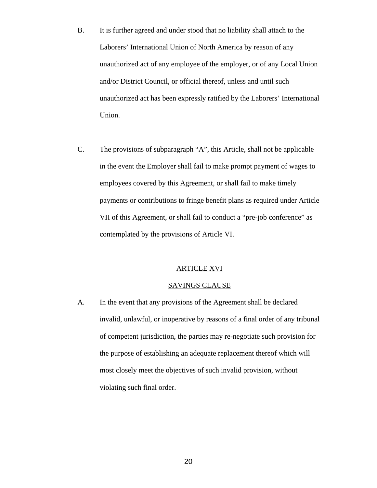- B. It is further agreed and under stood that no liability shall attach to the Laborers' International Union of North America by reason of any unauthorized act of any employee of the employer, or of any Local Union and/or District Council, or official thereof, unless and until such unauthorized act has been expressly ratified by the Laborers' International Union.
- C. The provisions of subparagraph "A", this Article, shall not be applicable in the event the Employer shall fail to make prompt payment of wages to employees covered by this Agreement, or shall fail to make timely payments or contributions to fringe benefit plans as required under Article VII of this Agreement, or shall fail to conduct a "pre-job conference" as contemplated by the provisions of Article VI.

#### ARTICLE XVI

## SAVINGS CLAUSE

A. In the event that any provisions of the Agreement shall be declared invalid, unlawful, or inoperative by reasons of a final order of any tribunal of competent jurisdiction, the parties may re-negotiate such provision for the purpose of establishing an adequate replacement thereof which will most closely meet the objectives of such invalid provision, without violating such final order.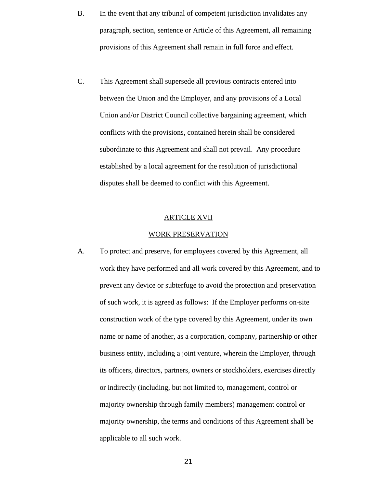- B. In the event that any tribunal of competent jurisdiction invalidates any paragraph, section, sentence or Article of this Agreement, all remaining provisions of this Agreement shall remain in full force and effect.
- C. This Agreement shall supersede all previous contracts entered into between the Union and the Employer, and any provisions of a Local Union and/or District Council collective bargaining agreement, which conflicts with the provisions, contained herein shall be considered subordinate to this Agreement and shall not prevail. Any procedure established by a local agreement for the resolution of jurisdictional disputes shall be deemed to conflict with this Agreement.

## ARTICLE XVII

#### WORK PRESERVATION

A. To protect and preserve, for employees covered by this Agreement, all work they have performed and all work covered by this Agreement, and to prevent any device or subterfuge to avoid the protection and preservation of such work, it is agreed as follows: If the Employer performs on-site construction work of the type covered by this Agreement, under its own name or name of another, as a corporation, company, partnership or other business entity, including a joint venture, wherein the Employer, through its officers, directors, partners, owners or stockholders, exercises directly or indirectly (including, but not limited to, management, control or majority ownership through family members) management control or majority ownership, the terms and conditions of this Agreement shall be applicable to all such work.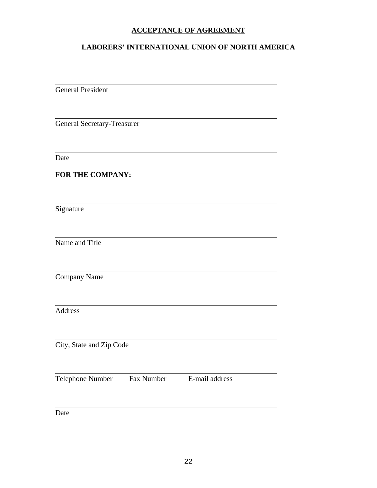# **ACCEPTANCE OF AGREEMENT**

# **LABORERS' INTERNATIONAL UNION OF NORTH AMERICA**

General President

General Secretary-Treasurer

Date

 $\overline{a}$ 

 $\overline{a}$ 

 $\overline{a}$ 

 $\overline{a}$ 

 $\overline{a}$ 

 $\overline{a}$ 

 $\overline{a}$ 

 $\overline{a}$ 

 $\overline{a}$ 

 $\overline{a}$ 

**FOR THE COMPANY:** 

Signature

Name and Title

Company Name

Address

City, State and Zip Code

Telephone Number Fax Number E-mail address

Date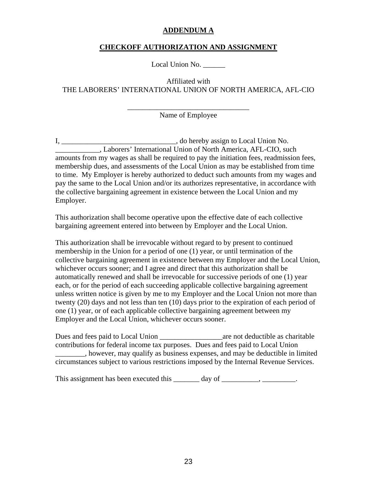## **ADDENDUM A**

# **CHECKOFF AUTHORIZATION AND ASSIGNMENT**

Local Union No.

Affiliated with THE LABORERS' INTERNATIONAL UNION OF NORTH AMERICA, AFL-CIO

> \_\_\_\_\_\_\_\_\_\_\_\_\_\_\_\_\_\_\_\_\_\_\_\_\_\_\_\_\_\_\_\_\_ Name of Employee

I, \_\_\_\_\_\_\_\_\_\_\_\_\_\_\_\_\_\_\_\_\_\_\_\_\_\_\_\_\_\_\_\_, do hereby assign to Local Union No. \_\_\_\_\_\_\_\_\_\_\_\_, Laborers' International Union of North America, AFL-CIO, such amounts from my wages as shall be required to pay the initiation fees, readmission fees, membership dues, and assessments of the Local Union as may be established from time to time. My Employer is hereby authorized to deduct such amounts from my wages and pay the same to the Local Union and/or its authorizes representative, in accordance with the collective bargaining agreement in existence between the Local Union and my Employer.

This authorization shall become operative upon the effective date of each collective bargaining agreement entered into between by Employer and the Local Union.

This authorization shall be irrevocable without regard to by present to continued membership in the Union for a period of one (1) year, or until termination of the collective bargaining agreement in existence between my Employer and the Local Union, whichever occurs sooner; and I agree and direct that this authorization shall be automatically renewed and shall be irrevocable for successive periods of one (1) year each, or for the period of each succeeding applicable collective bargaining agreement unless written notice is given by me to my Employer and the Local Union not more than twenty (20) days and not less than ten (10) days prior to the expiration of each period of one (1) year, or of each applicable collective bargaining agreement between my Employer and the Local Union, whichever occurs sooner.

Dues and fees paid to Local Union are not deductible as charitable contributions for federal income tax purposes. Dues and fees paid to Local Union \_\_\_\_\_\_\_\_, however, may qualify as business expenses, and may be deductible in limited circumstances subject to various restrictions imposed by the Internal Revenue Services.

This assignment has been executed this \_\_\_\_\_\_\_ day of \_\_\_\_\_\_\_\_, \_\_\_\_\_\_\_\_\_.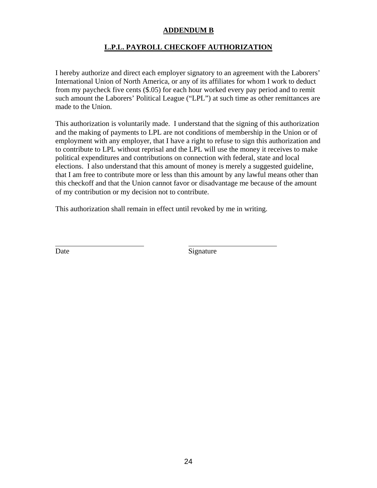# **ADDENDUM B**

# **L.P.L. PAYROLL CHECKOFF AUTHORIZATION**

I hereby authorize and direct each employer signatory to an agreement with the Laborers' International Union of North America, or any of its affiliates for whom I work to deduct from my paycheck five cents (\$.05) for each hour worked every pay period and to remit such amount the Laborers' Political League ("LPL") at such time as other remittances are made to the Union.

This authorization is voluntarily made. I understand that the signing of this authorization and the making of payments to LPL are not conditions of membership in the Union or of employment with any employer, that I have a right to refuse to sign this authorization and to contribute to LPL without reprisal and the LPL will use the money it receives to make political expenditures and contributions on connection with federal, state and local elections. I also understand that this amount of money is merely a suggested guideline, that I am free to contribute more or less than this amount by any lawful means other than this checkoff and that the Union cannot favor or disadvantage me because of the amount of my contribution or my decision not to contribute.

This authorization shall remain in effect until revoked by me in writing.

 $\overline{a}$ 

Date Signature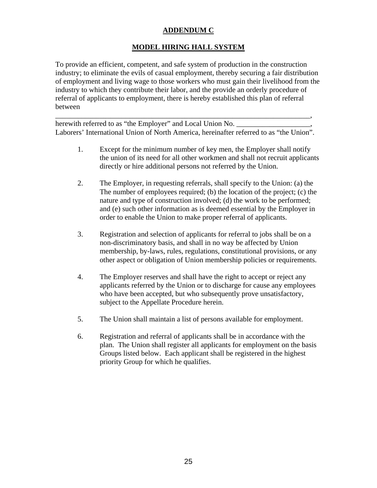# **ADDENDUM C**

# **MODEL HIRING HALL SYSTEM**

To provide an efficient, competent, and safe system of production in the construction industry; to eliminate the evils of casual employment, thereby securing a fair distribution of employment and living wage to those workers who must gain their livelihood from the industry to which they contribute their labor, and the provide an orderly procedure of referral of applicants to employment, there is hereby established this plan of referral between

herewith referred to as "the Employer" and Local Union No. Laborers' International Union of North America, hereinafter referred to as "the Union".

\_\_\_\_\_\_\_\_\_\_\_\_\_\_\_\_\_\_\_\_\_\_\_\_\_\_\_\_\_\_\_\_\_\_\_\_\_\_\_\_\_\_\_\_\_\_\_\_\_\_\_\_\_\_\_\_\_\_\_\_\_\_\_\_\_\_\_\_\_,

- 1. Except for the minimum number of key men, the Employer shall notify the union of its need for all other workmen and shall not recruit applicants directly or hire additional persons not referred by the Union.
- 2. The Employer, in requesting referrals, shall specify to the Union: (a) the The number of employees required; (b) the location of the project; (c) the nature and type of construction involved; (d) the work to be performed; and (e) such other information as is deemed essential by the Employer in order to enable the Union to make proper referral of applicants.
- 3. Registration and selection of applicants for referral to jobs shall be on a non-discriminatory basis, and shall in no way be affected by Union membership, by-laws, rules, regulations, constitutional provisions, or any other aspect or obligation of Union membership policies or requirements.
- 4. The Employer reserves and shall have the right to accept or reject any applicants referred by the Union or to discharge for cause any employees who have been accepted, but who subsequently prove unsatisfactory, subject to the Appellate Procedure herein.
- 5. The Union shall maintain a list of persons available for employment.
- 6. Registration and referral of applicants shall be in accordance with the plan. The Union shall register all applicants for employment on the basis Groups listed below. Each applicant shall be registered in the highest priority Group for which he qualifies.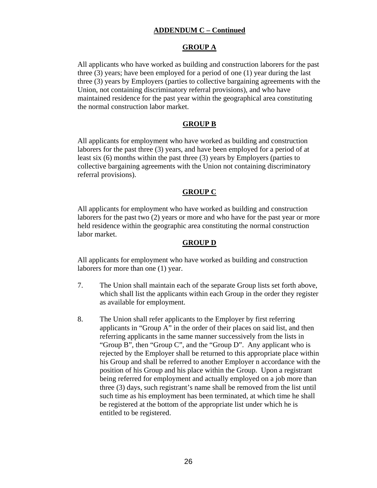# **ADDENDUM C – Continued**

# **GROUP A**

All applicants who have worked as building and construction laborers for the past three (3) years; have been employed for a period of one (1) year during the last three (3) years by Employers (parties to collective bargaining agreements with the Union, not containing discriminatory referral provisions), and who have maintained residence for the past year within the geographical area constituting the normal construction labor market.

## **GROUP B**

All applicants for employment who have worked as building and construction laborers for the past three (3) years, and have been employed for a period of at least six (6) months within the past three (3) years by Employers (parties to collective bargaining agreements with the Union not containing discriminatory referral provisions).

## **GROUP C**

All applicants for employment who have worked as building and construction laborers for the past two (2) years or more and who have for the past year or more held residence within the geographic area constituting the normal construction labor market.

## **GROUP D**

All applicants for employment who have worked as building and construction laborers for more than one (1) year.

- 7. The Union shall maintain each of the separate Group lists set forth above, which shall list the applicants within each Group in the order they register as available for employment.
- 8. The Union shall refer applicants to the Employer by first referring applicants in "Group A" in the order of their places on said list, and then referring applicants in the same manner successively from the lists in "Group B", then "Group C", and the "Group D". Any applicant who is rejected by the Employer shall be returned to this appropriate place within his Group and shall be referred to another Employer n accordance with the position of his Group and his place within the Group. Upon a registrant being referred for employment and actually employed on a job more than three (3) days, such registrant's name shall be removed from the list until such time as his employment has been terminated, at which time he shall be registered at the bottom of the appropriate list under which he is entitled to be registered.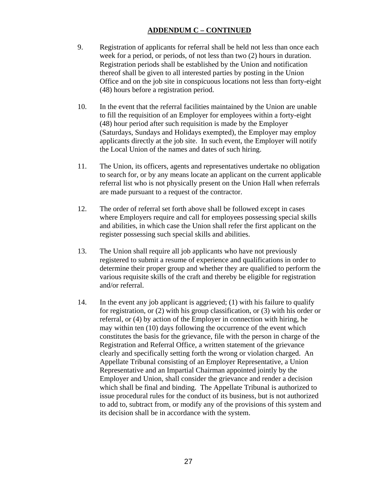# **ADDENDUM C – CONTINUED**

- 9. Registration of applicants for referral shall be held not less than once each week for a period, or periods, of not less than two (2) hours in duration. Registration periods shall be established by the Union and notification thereof shall be given to all interested parties by posting in the Union Office and on the job site in conspicuous locations not less than forty-eight (48) hours before a registration period.
- 10. In the event that the referral facilities maintained by the Union are unable to fill the requisition of an Employer for employees within a forty-eight (48) hour period after such requisition is made by the Employer (Saturdays, Sundays and Holidays exempted), the Employer may employ applicants directly at the job site. In such event, the Employer will notify the Local Union of the names and dates of such hiring.
- 11. The Union, its officers, agents and representatives undertake no obligation to search for, or by any means locate an applicant on the current applicable referral list who is not physically present on the Union Hall when referrals are made pursuant to a request of the contractor.
- 12. The order of referral set forth above shall be followed except in cases where Employers require and call for employees possessing special skills and abilities, in which case the Union shall refer the first applicant on the register possessing such special skills and abilities.
- 13. The Union shall require all job applicants who have not previously registered to submit a resume of experience and qualifications in order to determine their proper group and whether they are qualified to perform the various requisite skills of the craft and thereby be eligible for registration and/or referral.
- 14. In the event any job applicant is aggrieved; (1) with his failure to qualify for registration, or (2) with his group classification, or (3) with his order or referral, or (4) by action of the Employer in connection with hiring, he may within ten (10) days following the occurrence of the event which constitutes the basis for the grievance, file with the person in charge of the Registration and Referral Office, a written statement of the grievance clearly and specifically setting forth the wrong or violation charged. An Appellate Tribunal consisting of an Employer Representative, a Union Representative and an Impartial Chairman appointed jointly by the Employer and Union, shall consider the grievance and render a decision which shall be final and binding. The Appellate Tribunal is authorized to issue procedural rules for the conduct of its business, but is not authorized to add to, subtract from, or modify any of the provisions of this system and its decision shall be in accordance with the system.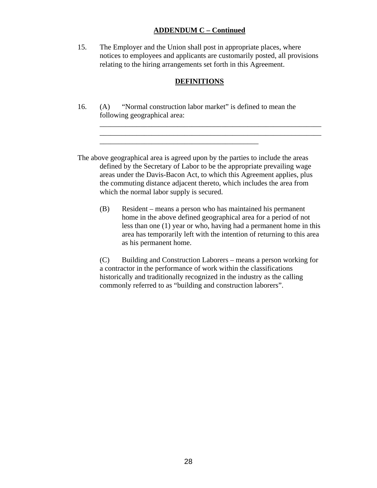## **ADDENDUM C – Continued**

15. The Employer and the Union shall post in appropriate places, where notices to employees and applicants are customarily posted, all provisions relating to the hiring arrangements set forth in this Agreement.

## **DEFINITIONS**

\_\_\_\_\_\_\_\_\_\_\_\_\_\_\_\_\_\_\_\_\_\_\_\_\_\_\_\_\_\_\_\_\_\_\_\_\_\_\_\_\_\_\_\_\_\_\_\_\_\_\_\_\_\_\_\_\_\_\_\_

\_\_\_\_\_\_\_\_\_\_\_\_\_\_\_\_\_\_\_\_\_\_\_\_\_\_\_\_\_\_\_\_\_\_\_\_\_\_\_\_\_\_\_\_\_\_\_\_\_\_\_\_\_\_\_\_\_\_\_\_

16. (A) "Normal construction labor market" is defined to mean the following geographical area:

\_\_\_\_\_\_\_\_\_\_\_\_\_\_\_\_\_\_\_\_\_\_\_\_\_\_\_\_\_\_\_\_\_\_\_\_\_\_\_\_\_\_\_

The above geographical area is agreed upon by the parties to include the areas defined by the Secretary of Labor to be the appropriate prevailing wage areas under the Davis-Bacon Act, to which this Agreement applies, plus the commuting distance adjacent thereto, which includes the area from which the normal labor supply is secured.

(B) Resident – means a person who has maintained his permanent home in the above defined geographical area for a period of not less than one (1) year or who, having had a permanent home in this area has temporarily left with the intention of returning to this area as his permanent home.

(C) Building and Construction Laborers – means a person working for a contractor in the performance of work within the classifications historically and traditionally recognized in the industry as the calling commonly referred to as "building and construction laborers".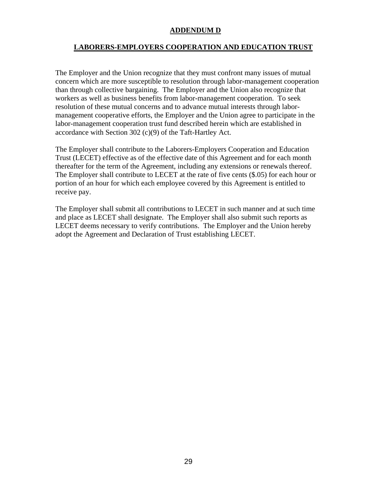## **ADDENDUM D**

# **LABORERS-EMPLOYERS COOPERATION AND EDUCATION TRUST**

The Employer and the Union recognize that they must confront many issues of mutual concern which are more susceptible to resolution through labor-management cooperation than through collective bargaining. The Employer and the Union also recognize that workers as well as business benefits from labor-management cooperation. To seek resolution of these mutual concerns and to advance mutual interests through labormanagement cooperative efforts, the Employer and the Union agree to participate in the labor-management cooperation trust fund described herein which are established in accordance with Section 302 (c)(9) of the Taft-Hartley Act.

The Employer shall contribute to the Laborers-Employers Cooperation and Education Trust (LECET) effective as of the effective date of this Agreement and for each month thereafter for the term of the Agreement, including any extensions or renewals thereof. The Employer shall contribute to LECET at the rate of five cents (\$.05) for each hour or portion of an hour for which each employee covered by this Agreement is entitled to receive pay.

The Employer shall submit all contributions to LECET in such manner and at such time and place as LECET shall designate. The Employer shall also submit such reports as LECET deems necessary to verify contributions. The Employer and the Union hereby adopt the Agreement and Declaration of Trust establishing LECET.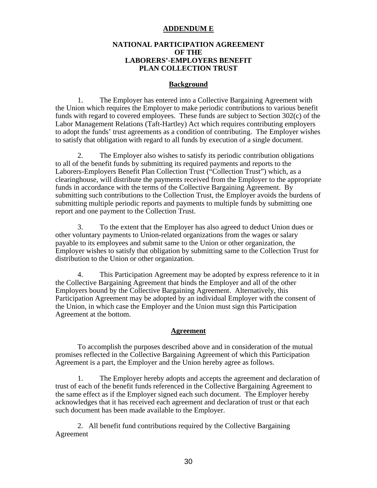### **ADDENDUM E**

## **NATIONAL PARTICIPATION AGREEMENT OF THE LABORERS'-EMPLOYERS BENEFIT PLAN COLLECTION TRUST**

### **Background**

 1. The Employer has entered into a Collective Bargaining Agreement with the Union which requires the Employer to make periodic contributions to various benefit funds with regard to covered employees. These funds are subject to Section 302(c) of the Labor Management Relations (Taft-Hartley) Act which requires contributing employers to adopt the funds' trust agreements as a condition of contributing. The Employer wishes to satisfy that obligation with regard to all funds by execution of a single document.

 2. The Employer also wishes to satisfy its periodic contribution obligations to all of the benefit funds by submitting its required payments and reports to the Laborers-Employers Benefit Plan Collection Trust ("Collection Trust") which, as a clearinghouse, will distribute the payments received from the Employer to the appropriate funds in accordance with the terms of the Collective Bargaining Agreement. By submitting such contributions to the Collection Trust, the Employer avoids the burdens of submitting multiple periodic reports and payments to multiple funds by submitting one report and one payment to the Collection Trust.

 3. To the extent that the Employer has also agreed to deduct Union dues or other voluntary payments to Union-related organizations from the wages or salary payable to its employees and submit same to the Union or other organization, the Employer wishes to satisfy that obligation by submitting same to the Collection Trust for distribution to the Union or other organization.

 4. This Participation Agreement may be adopted by express reference to it in the Collective Bargaining Agreement that binds the Employer and all of the other Employers bound by the Collective Bargaining Agreement. Alternatively, this Participation Agreement may be adopted by an individual Employer with the consent of the Union, in which case the Employer and the Union must sign this Participation Agreement at the bottom.

#### **Agreement**

 To accomplish the purposes described above and in consideration of the mutual promises reflected in the Collective Bargaining Agreement of which this Participation Agreement is a part, the Employer and the Union hereby agree as follows.

 1. The Employer hereby adopts and accepts the agreement and declaration of trust of each of the benefit funds referenced in the Collective Bargaining Agreement to the same effect as if the Employer signed each such document. The Employer hereby acknowledges that it has received each agreement and declaration of trust or that each such document has been made available to the Employer.

2. All benefit fund contributions required by the Collective Bargaining Agreement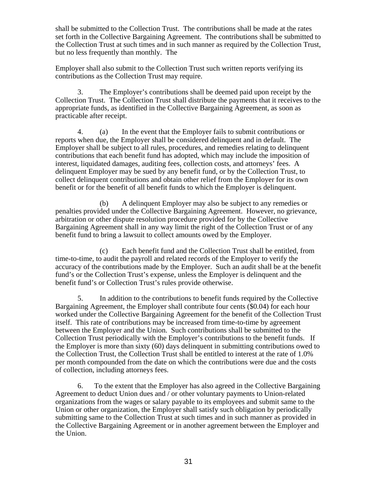shall be submitted to the Collection Trust. The contributions shall be made at the rates set forth in the Collective Bargaining Agreement. The contributions shall be submitted to the Collection Trust at such times and in such manner as required by the Collection Trust, but no less frequently than monthly. The

Employer shall also submit to the Collection Trust such written reports verifying its contributions as the Collection Trust may require.

 3. The Employer's contributions shall be deemed paid upon receipt by the Collection Trust. The Collection Trust shall distribute the payments that it receives to the appropriate funds, as identified in the Collective Bargaining Agreement, as soon as practicable after receipt.

 4. (a) In the event that the Employer fails to submit contributions or reports when due, the Employer shall be considered delinquent and in default. The Employer shall be subject to all rules, procedures, and remedies relating to delinquent contributions that each benefit fund has adopted, which may include the imposition of interest, liquidated damages, auditing fees, collection costs, and attorneys' fees. A delinquent Employer may be sued by any benefit fund, or by the Collection Trust, to collect delinquent contributions and obtain other relief from the Employer for its own benefit or for the benefit of all benefit funds to which the Employer is delinquent.

 (b) A delinquent Employer may also be subject to any remedies or penalties provided under the Collective Bargaining Agreement. However, no grievance, arbitration or other dispute resolution procedure provided for by the Collective Bargaining Agreement shall in any way limit the right of the Collection Trust or of any benefit fund to bring a lawsuit to collect amounts owed by the Employer.

 (c) Each benefit fund and the Collection Trust shall be entitled, from time-to-time, to audit the payroll and related records of the Employer to verify the accuracy of the contributions made by the Employer. Such an audit shall be at the benefit fund's or the Collection Trust's expense, unless the Employer is delinquent and the benefit fund's or Collection Trust's rules provide otherwise.

 5. In addition to the contributions to benefit funds required by the Collective Bargaining Agreement, the Employer shall contribute four cents (\$0.04) for each hour worked under the Collective Bargaining Agreement for the benefit of the Collection Trust itself. This rate of contributions may be increased from time-to-time by agreement between the Employer and the Union. Such contributions shall be submitted to the Collection Trust periodically with the Employer's contributions to the benefit funds. If the Employer is more than sixty (60) days delinquent in submitting contributions owed to the Collection Trust, the Collection Trust shall be entitled to interest at the rate of 1.0% per month compounded from the date on which the contributions were due and the costs of collection, including attorneys fees.

 6. To the extent that the Employer has also agreed in the Collective Bargaining Agreement to deduct Union dues and / or other voluntary payments to Union-related organizations from the wages or salary payable to its employees and submit same to the Union or other organization, the Employer shall satisfy such obligation by periodically submitting same to the Collection Trust at such times and in such manner as provided in the Collective Bargaining Agreement or in another agreement between the Employer and the Union.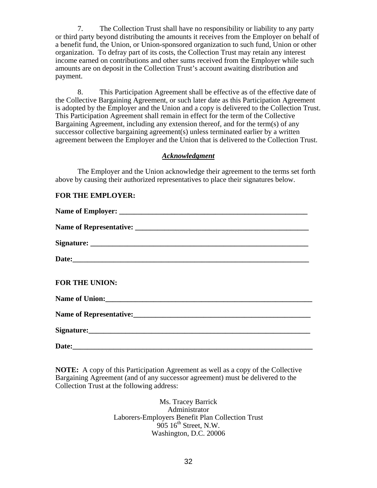7. The Collection Trust shall have no responsibility or liability to any party or third party beyond distributing the amounts it receives from the Employer on behalf of a benefit fund, the Union, or Union-sponsored organization to such fund, Union or other organization. To defray part of its costs, the Collection Trust may retain any interest income earned on contributions and other sums received from the Employer while such amounts are on deposit in the Collection Trust's account awaiting distribution and payment.

 8. This Participation Agreement shall be effective as of the effective date of the Collective Bargaining Agreement, or such later date as this Participation Agreement is adopted by the Employer and the Union and a copy is delivered to the Collection Trust. This Participation Agreement shall remain in effect for the term of the Collective Bargaining Agreement, including any extension thereof, and for the term(s) of any successor collective bargaining agreement(s) unless terminated earlier by a written agreement between the Employer and the Union that is delivered to the Collection Trust.

## *Acknowledgment*

 The Employer and the Union acknowledge their agreement to the terms set forth above by causing their authorized representatives to place their signatures below.

## **FOR THE EMPLOYER:**

| FOR THE UNION: |  |  |  |  |  |
|----------------|--|--|--|--|--|
|                |  |  |  |  |  |
|                |  |  |  |  |  |
|                |  |  |  |  |  |
|                |  |  |  |  |  |

**NOTE:** A copy of this Participation Agreement as well as a copy of the Collective Bargaining Agreement (and of any successor agreement) must be delivered to the Collection Trust at the following address:

> Ms. Tracey Barrick Administrator Laborers-Employers Benefit Plan Collection Trust  $905 \, 16^{\text{th}}$  Street, N.W. Washington, D.C. 20006